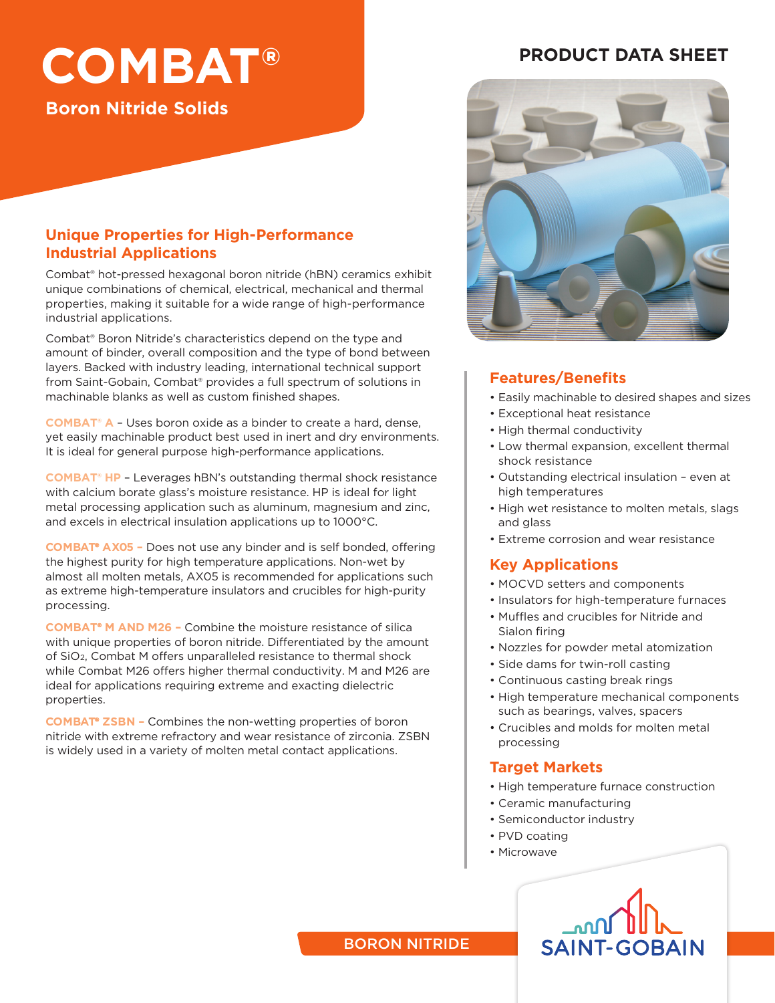# **COMBAT®** PRODUCT DATA SHEET

**Boron Nitride Solids**

#### **Unique Properties for High-Performance Industrial Applications**

Combat® hot-pressed hexagonal boron nitride (hBN) ceramics exhibit unique combinations of chemical, electrical, mechanical and thermal properties, making it suitable for a wide range of high-performance industrial applications.

Combat® Boron Nitride's characteristics depend on the type and amount of binder, overall composition and the type of bond between layers. Backed with industry leading, international technical support from Saint-Gobain, Combat® provides a full spectrum of solutions in machinable blanks as well as custom finished shapes.

**COMBAT® A** – Uses boron oxide as a binder to create a hard, dense, yet easily machinable product best used in inert and dry environments. It is ideal for general purpose high-performance applications.

**COMBAT® HP** – Leverages hBN's outstanding thermal shock resistance with calcium borate glass's moisture resistance. HP is ideal for light metal processing application such as aluminum, magnesium and zinc, and excels in electrical insulation applications up to 1000°C.

**COMBAT® AX05 –** Does not use any binder and is self bonded, offering the highest purity for high temperature applications. Non-wet by almost all molten metals, AX05 is recommended for applications such as extreme high-temperature insulators and crucibles for high-purity processing.

**COMBAT® M AND M26 –** Combine the moisture resistance of silica with unique properties of boron nitride. Differentiated by the amount of SiO2, Combat M offers unparalleled resistance to thermal shock while Combat M26 offers higher thermal conductivity. M and M26 are ideal for applications requiring extreme and exacting dielectric properties.

**COMBAT® ZSBN –** Combines the non-wetting properties of boron nitride with extreme refractory and wear resistance of zirconia. ZSBN is widely used in a variety of molten metal contact applications.



#### **Features/Benefits**

- Easily machinable to desired shapes and sizes
- Exceptional heat resistance
- High thermal conductivity
- Low thermal expansion, excellent thermal shock resistance
- Outstanding electrical insulation even at high temperatures
- High wet resistance to molten metals, slags and glass
- Extreme corrosion and wear resistance

#### **Key Applications**

- MOCVD setters and components
- Insulators for high-temperature furnaces
- Muffles and crucibles for Nitride and Sialon firing
- Nozzles for powder metal atomization
- Side dams for twin-roll casting
- Continuous casting break rings
- High temperature mechanical components such as bearings, valves, spacers
- Crucibles and molds for molten metal processing

### **Target Markets**

- High temperature furnace construction
- Ceramic manufacturing
- Semiconductor industry
- PVD coating
- Microwave



BORON NITRIDE